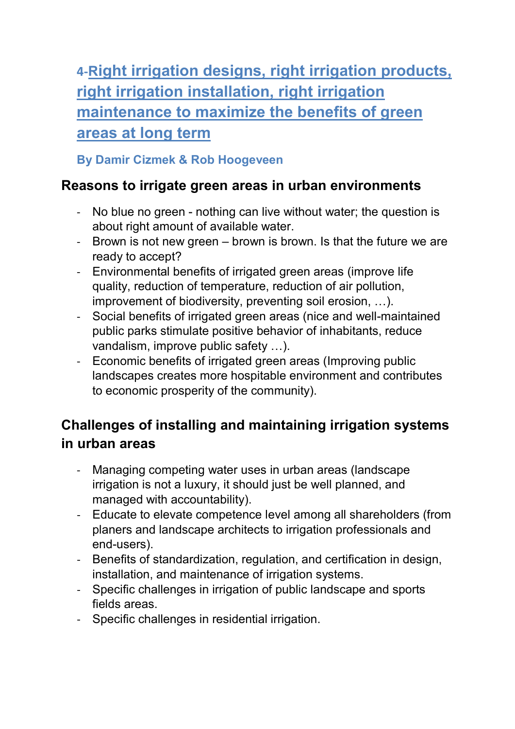**4-Right irrigation designs, right irrigation products, right irrigation installation, right irrigation maintenance to maximize the benefits of green areas at long term**

### **By Damir Cizmek & Rob Hoogeveen**

### **Reasons to irrigate green areas in urban environments**

- No blue no green nothing can live without water; the question is about right amount of available water.
- Brown is not new green brown is brown. Is that the future we are ready to accept?
- Environmental benefits of irrigated green areas (improve life quality, reduction of temperature, reduction of air pollution, improvement of biodiversity, preventing soil erosion, …).
- Social benefits of irrigated green areas (nice and well-maintained public parks stimulate positive behavior of inhabitants, reduce vandalism, improve public safety …).
- Economic benefits of irrigated green areas (Improving public landscapes creates more hospitable environment and contributes to economic prosperity of the community).

# **Challenges of installing and maintaining irrigation systems in urban areas**

- Managing competing water uses in urban areas (landscape irrigation is not a luxury, it should just be well planned, and managed with accountability).
- Educate to elevate competence level among all shareholders (from planers and landscape architects to irrigation professionals and end-users).
- Benefits of standardization, regulation, and certification in design, installation, and maintenance of irrigation systems.
- Specific challenges in irrigation of public landscape and sports fields areas.
- Specific challenges in residential irrigation.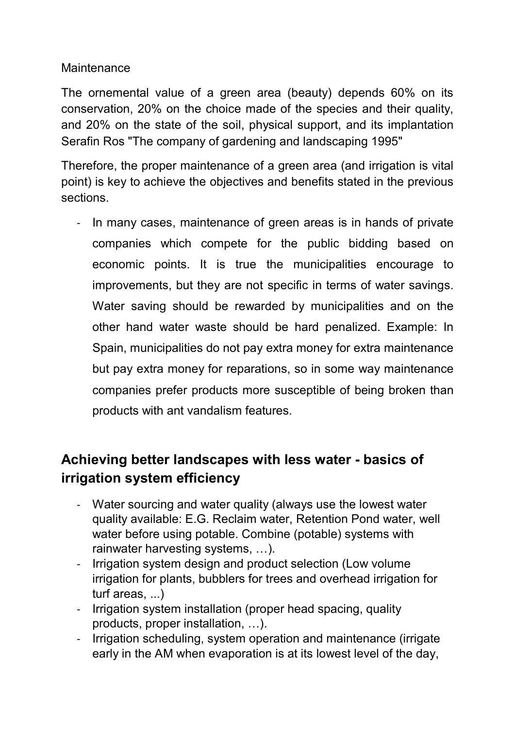#### **Maintenance**

The ornemental value of a green area (beauty) depends 60% on its conservation, 20% on the choice made of the species and their quality, and 20% on the state of the soil, physical support, and its implantation Serafin Ros "The company of gardening and landscaping 1995"

Therefore, the proper maintenance of a green area (and irrigation is vital point) is key to achieve the objectives and benefits stated in the previous sections.

In many cases, maintenance of green areas is in hands of private companies which compete for the public bidding based on economic points. It is true the municipalities encourage to improvements, but they are not specific in terms of water savings. Water saving should be rewarded by municipalities and on the other hand water waste should be hard penalized. Example: In Spain, municipalities do not pay extra money for extra maintenance but pay extra money for reparations, so in some way maintenance companies prefer products more susceptible of being broken than products with ant vandalism features.

## **Achieving better landscapes with less water - basics of irrigation system efficiency**

- Water sourcing and water quality (always use the lowest water quality available: E.G. Reclaim water, Retention Pond water, well water before using potable. Combine (potable) systems with rainwater harvesting systems, …).
- Irrigation system design and product selection (Low volume irrigation for plants, bubblers for trees and overhead irrigation for turf areas, ...)
- Irrigation system installation (proper head spacing, quality products, proper installation, …).
- Irrigation scheduling, system operation and maintenance (irrigate early in the AM when evaporation is at its lowest level of the day,